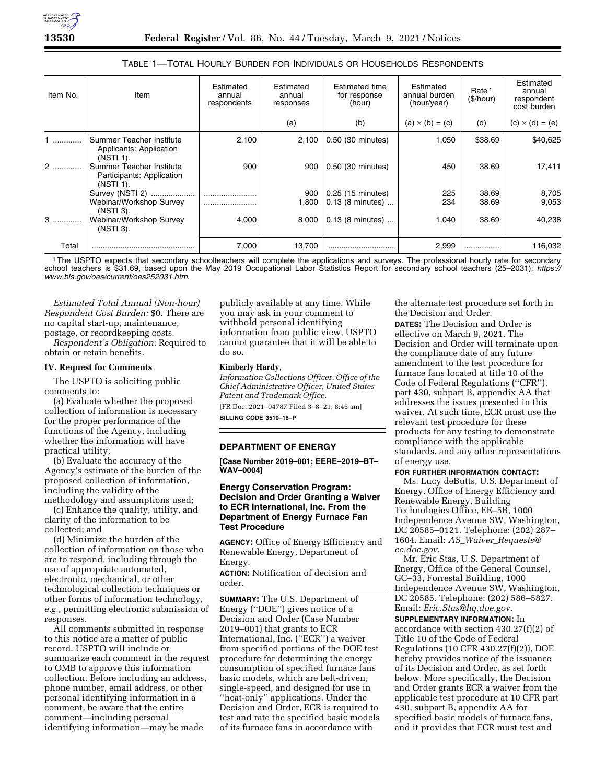# TABLE 1—TOTAL HOURLY BURDEN FOR INDIVIDUALS OR HOUSEHOLDS RESPONDENTS

| Item No. | Item                                                               | Estimated<br>annual<br>respondents | Estimated<br>annual<br>responses | Estimated time<br>for response<br>(hour) | Estimated<br>annual burden<br>(hour/year) | Rate <sup>1</sup><br>(\$/hour) | Estimated<br>annual<br>respondent<br>cost burden |
|----------|--------------------------------------------------------------------|------------------------------------|----------------------------------|------------------------------------------|-------------------------------------------|--------------------------------|--------------------------------------------------|
|          |                                                                    |                                    | (a)                              | (b)                                      | $(a) \times (b) = (c)$                    | (d)                            | $(c) \times (d) = (e)$                           |
|          | Summer Teacher Institute<br>Applicants: Application<br>(NSTI 1).   | 2,100                              | 2,100                            | 0.50 (30 minutes)                        | 1,050                                     | \$38.69                        | \$40,625                                         |
| $2$      | Summer Teacher Institute<br>Participants: Application<br>(NSTI 1). | 900                                | 900                              | 0.50 (30 minutes)                        | 450                                       | 38.69                          | 17,411                                           |
|          | Survey (NSTI 2)                                                    |                                    | 900                              | 0.25 (15 minutes)                        | 225                                       | 38.69                          | 8,705                                            |
|          | Webinar/Workshop Survey<br>(NSTI 3).                               |                                    | 1,800                            | $0.13$ (8 minutes)                       | 234                                       | 38.69                          | 9,053                                            |
| $3$      | Webinar/Workshop Survey<br>(NSTI 3).                               | 4,000                              | 8,000                            | $0.13$ (8 minutes)                       | 1,040                                     | 38.69                          | 40,238                                           |
| Total    |                                                                    | 7,000                              | 13,700                           |                                          | 2,999                                     | .                              | 116,032                                          |

1The USPTO expects that secondary schoolteachers will complete the applications and surveys. The professional hourly rate for secondary school teachers is \$31.69, based upon the May 2019 Occupational Labor Statistics Report for secondary school teachers (25–2031); *[https://](https://www.bls.gov/oes/current/oes252031.htm) [www.bls.gov/oes/current/oes252031.htm.](https://www.bls.gov/oes/current/oes252031.htm)* 

*Estimated Total Annual (Non-hour) Respondent Cost Burden:* \$0. There are no capital start-up, maintenance, postage, or recordkeeping costs. *Respondent's Obligation:* Required to

obtain or retain benefits.

### **IV. Request for Comments**

The USPTO is soliciting public comments to:

(a) Evaluate whether the proposed collection of information is necessary for the proper performance of the functions of the Agency, including whether the information will have practical utility;

(b) Evaluate the accuracy of the Agency's estimate of the burden of the proposed collection of information, including the validity of the methodology and assumptions used;

(c) Enhance the quality, utility, and clarity of the information to be collected; and

(d) Minimize the burden of the collection of information on those who are to respond, including through the use of appropriate automated, electronic, mechanical, or other technological collection techniques or other forms of information technology, *e.g.,* permitting electronic submission of responses.

All comments submitted in response to this notice are a matter of public record. USPTO will include or summarize each comment in the request to OMB to approve this information collection. Before including an address, phone number, email address, or other personal identifying information in a comment, be aware that the entire comment—including personal identifying information—may be made

publicly available at any time. While you may ask in your comment to withhold personal identifying information from public view, USPTO cannot guarantee that it will be able to do so.

#### **Kimberly Hardy,**

*Information Collections Officer, Office of the Chief Administrative Officer, United States Patent and Trademark Office.*  [FR Doc. 2021–04787 Filed 3–8–21; 8:45 am]

**BILLING CODE 3510–16–P** 

# **DEPARTMENT OF ENERGY**

**[Case Number 2019–001; EERE–2019–BT– WAV–0004]** 

# **Energy Conservation Program: Decision and Order Granting a Waiver to ECR International, Inc. From the Department of Energy Furnace Fan Test Procedure**

**AGENCY:** Office of Energy Efficiency and Renewable Energy, Department of Energy.

**ACTION:** Notification of decision and order.

**SUMMARY:** The U.S. Department of Energy (''DOE'') gives notice of a Decision and Order (Case Number 2019–001) that grants to ECR International, Inc. (''ECR'') a waiver from specified portions of the DOE test procedure for determining the energy consumption of specified furnace fans basic models, which are belt-driven, single-speed, and designed for use in ''heat-only'' applications. Under the Decision and Order, ECR is required to test and rate the specified basic models of its furnace fans in accordance with

the alternate test procedure set forth in the Decision and Order.

**DATES:** The Decision and Order is effective on March 9, 2021. The Decision and Order will terminate upon the compliance date of any future amendment to the test procedure for furnace fans located at title 10 of the Code of Federal Regulations (''CFR''), part 430, subpart B, appendix AA that addresses the issues presented in this waiver. At such time, ECR must use the relevant test procedure for these products for any testing to demonstrate compliance with the applicable standards, and any other representations of energy use.

#### **FOR FURTHER INFORMATION CONTACT:**

Ms. Lucy deButts, U.S. Department of Energy, Office of Energy Efficiency and Renewable Energy, Building Technologies Office, EE–5B, 1000 Independence Avenue SW, Washington, DC 20585–0121. Telephone: (202) 287– 1604. Email: *AS*\_*Waiver*\_*[Requests@](mailto:AS_Waiver_Requests@ee.doe.gov) [ee.doe.gov.](mailto:AS_Waiver_Requests@ee.doe.gov)* 

Mr. Eric Stas, U.S. Department of Energy, Office of the General Counsel, GC–33, Forrestal Building, 1000 Independence Avenue SW, Washington, DC 20585. Telephone: (202) 586–5827. Email: *[Eric.Stas@hq.doe.gov.](mailto:Eric.Stas@hq.doe.gov)* 

**SUPPLEMENTARY INFORMATION:** In accordance with section 430.27(f)(2) of Title 10 of the Code of Federal Regulations (10 CFR 430.27(f)(2)), DOE hereby provides notice of the issuance of its Decision and Order, as set forth below. More specifically, the Decision and Order grants ECR a waiver from the applicable test procedure at 10 CFR part 430, subpart B, appendix AA for specified basic models of furnace fans, and it provides that ECR must test and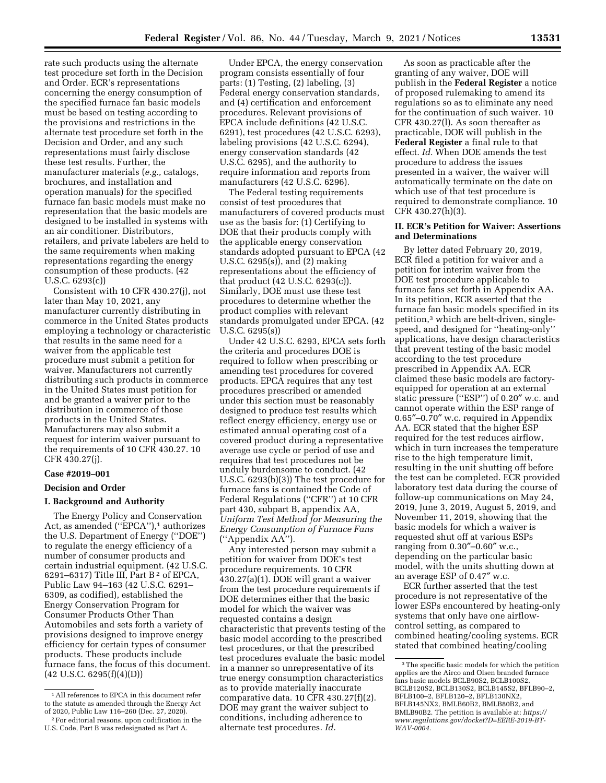rate such products using the alternate test procedure set forth in the Decision and Order. ECR's representations concerning the energy consumption of the specified furnace fan basic models must be based on testing according to the provisions and restrictions in the alternate test procedure set forth in the Decision and Order, and any such representations must fairly disclose these test results. Further, the manufacturer materials (*e.g.,* catalogs, brochures, and installation and operation manuals) for the specified furnace fan basic models must make no representation that the basic models are designed to be installed in systems with an air conditioner. Distributors, retailers, and private labelers are held to the same requirements when making representations regarding the energy consumption of these products. (42 U.S.C. 6293(c))

Consistent with 10 CFR 430.27(j), not later than May 10, 2021, any manufacturer currently distributing in commerce in the United States products employing a technology or characteristic that results in the same need for a waiver from the applicable test procedure must submit a petition for waiver. Manufacturers not currently distributing such products in commerce in the United States must petition for and be granted a waiver prior to the distribution in commerce of those products in the United States. Manufacturers may also submit a request for interim waiver pursuant to the requirements of 10 CFR 430.27. 10 CFR 430.27(j).

### **Case #2019–001**

# **Decision and Order**

### **I. Background and Authority**

The Energy Policy and Conservation Act, as amended ("EPCA"),<sup>1</sup> authorizes the U.S. Department of Energy (''DOE'') to regulate the energy efficiency of a number of consumer products and certain industrial equipment. (42 U.S.C. 6291–6317) Title III, Part B 2 of EPCA, Public Law 94–163 (42 U.S.C. 6291– 6309, as codified), established the Energy Conservation Program for Consumer Products Other Than Automobiles and sets forth a variety of provisions designed to improve energy efficiency for certain types of consumer products. These products include furnace fans, the focus of this document. (42 U.S.C. 6295(f)(4)(D))

Under EPCA, the energy conservation program consists essentially of four parts: (1) Testing, (2) labeling, (3) Federal energy conservation standards, and (4) certification and enforcement procedures. Relevant provisions of EPCA include definitions (42 U.S.C. 6291), test procedures (42 U.S.C. 6293), labeling provisions (42 U.S.C. 6294), energy conservation standards (42 U.S.C. 6295), and the authority to require information and reports from manufacturers (42 U.S.C. 6296).

The Federal testing requirements consist of test procedures that manufacturers of covered products must use as the basis for: (1) Certifying to DOE that their products comply with the applicable energy conservation standards adopted pursuant to EPCA (42 U.S.C. 6295(s)), and (2) making representations about the efficiency of that product (42 U.S.C. 6293(c)). Similarly, DOE must use these test procedures to determine whether the product complies with relevant standards promulgated under EPCA. (42 U.S.C. 6295(s))

Under 42 U.S.C. 6293, EPCA sets forth the criteria and procedures DOE is required to follow when prescribing or amending test procedures for covered products. EPCA requires that any test procedures prescribed or amended under this section must be reasonably designed to produce test results which reflect energy efficiency, energy use or estimated annual operating cost of a covered product during a representative average use cycle or period of use and requires that test procedures not be unduly burdensome to conduct. (42 U.S.C. 6293(b)(3)) The test procedure for furnace fans is contained the Code of Federal Regulations (''CFR'') at 10 CFR part 430, subpart B, appendix AA, *Uniform Test Method for Measuring the Energy Consumption of Furnace Fans*  (''Appendix AA'').

Any interested person may submit a petition for waiver from DOE's test procedure requirements. 10 CFR 430.27(a)(1). DOE will grant a waiver from the test procedure requirements if DOE determines either that the basic model for which the waiver was requested contains a design characteristic that prevents testing of the basic model according to the prescribed test procedures, or that the prescribed test procedures evaluate the basic model in a manner so unrepresentative of its true energy consumption characteristics as to provide materially inaccurate comparative data. 10 CFR 430.27(f)(2). DOE may grant the waiver subject to conditions, including adherence to alternate test procedures. *Id.* 

As soon as practicable after the granting of any waiver, DOE will publish in the **Federal Register** a notice of proposed rulemaking to amend its regulations so as to eliminate any need for the continuation of such waiver. 10 CFR 430.27(l). As soon thereafter as practicable, DOE will publish in the **Federal Register** a final rule to that effect. *Id.* When DOE amends the test procedure to address the issues presented in a waiver, the waiver will automatically terminate on the date on which use of that test procedure is required to demonstrate compliance. 10 CFR 430.27(h)(3).

### **II. ECR's Petition for Waiver: Assertions and Determinations**

By letter dated February 20, 2019, ECR filed a petition for waiver and a petition for interim waiver from the DOE test procedure applicable to furnace fans set forth in Appendix AA. In its petition, ECR asserted that the furnace fan basic models specified in its petition,3 which are belt-driven, singlespeed, and designed for ''heating-only'' applications, have design characteristics that prevent testing of the basic model according to the test procedure prescribed in Appendix AA. ECR claimed these basic models are factoryequipped for operation at an external static pressure (''ESP'') of 0.20″ w.c. and cannot operate within the ESP range of 0.65″–0.70″ w.c. required in Appendix AA. ECR stated that the higher ESP required for the test reduces airflow, which in turn increases the temperature rise to the high temperature limit, resulting in the unit shutting off before the test can be completed. ECR provided laboratory test data during the course of follow-up communications on May 24, 2019, June 3, 2019, August 5, 2019, and November 11, 2019, showing that the basic models for which a waiver is requested shut off at various ESPs ranging from 0.30″–0.60″ w.c., depending on the particular basic model, with the units shutting down at an average ESP of 0.47″ w.c.

ECR further asserted that the test procedure is not representative of the lower ESPs encountered by heating-only systems that only have one airflowcontrol setting, as compared to combined heating/cooling systems. ECR stated that combined heating/cooling

<sup>1</sup>All references to EPCA in this document refer to the statute as amended through the Energy Act of 2020, Public Law 116–260 (Dec. 27, 2020).

<sup>2</sup>For editorial reasons, upon codification in the U.S. Code, Part B was redesignated as Part A.

<sup>&</sup>lt;sup>3</sup>The specific basic models for which the petition applies are the Airco and Olsen branded furnace fans basic models BCLB90S2, BCLB100S2, BCLB120S2, BCLB130S2, BCLB145S2, BFLB90–2, BFLB100–2, BFLB120–2, BFLB130NX2, BFLB145NX2, BMLB60B2, BMLB80B2, and BMLB90B2. The petition is available at: *[https://](https://www.regulations.gov/docket?D=EERE-2019-BT-WAV-0004) [www.regulations.gov/docket?D=EERE-2019-BT-](https://www.regulations.gov/docket?D=EERE-2019-BT-WAV-0004)[WAV-0004.](https://www.regulations.gov/docket?D=EERE-2019-BT-WAV-0004)*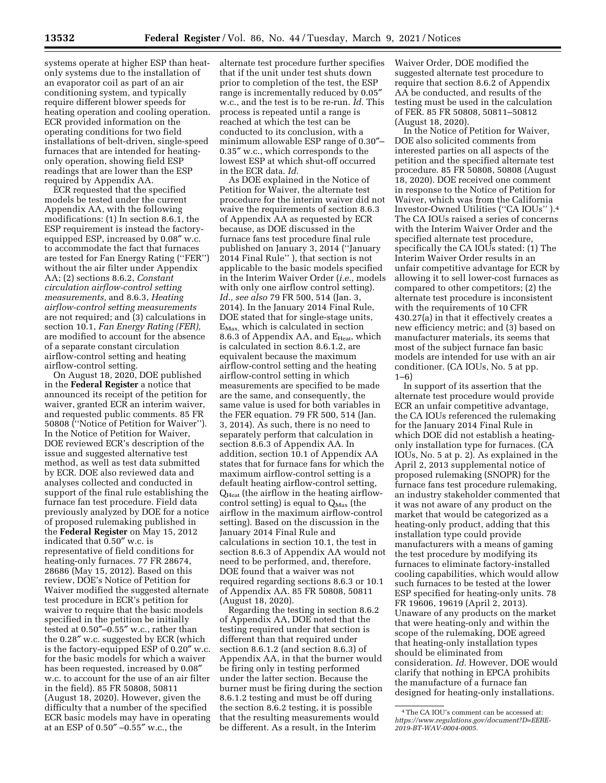systems operate at higher ESP than heatonly systems due to the installation of an evaporator coil as part of an air conditioning system, and typically require different blower speeds for heating operation and cooling operation. ECR provided information on the operating conditions for two field installations of belt-driven, single-speed furnaces that are intended for heatingonly operation, showing field ESP readings that are lower than the ESP required by Appendix AA.

ECR requested that the specified models be tested under the current Appendix AA, with the following modifications: (1) In section 8.6.1, the ESP requirement is instead the factoryequipped ESP, increased by 0.08″ w.c. to accommodate the fact that furnaces are tested for Fan Energy Rating (''FER'') without the air filter under Appendix AA; (2) sections 8.6.2, *Constant circulation airflow-control setting measurements,* and 8.6.3, *Heating airflow-control setting measurements*  are not required; and (3) calculations in section 10.1, *Fan Energy Rating (FER),*  are modified to account for the absence of a separate constant circulation airflow-control setting and heating airflow-control setting.

On August 18, 2020, DOE published in the **Federal Register** a notice that announced its receipt of the petition for waiver, granted ECR an interim waiver, and requested public comments. 85 FR 50808 (''Notice of Petition for Waiver''). In the Notice of Petition for Waiver, DOE reviewed ECR's description of the issue and suggested alternative test method, as well as test data submitted by ECR. DOE also reviewed data and analyses collected and conducted in support of the final rule establishing the furnace fan test procedure. Field data previously analyzed by DOE for a notice of proposed rulemaking published in the **Federal Register** on May 15, 2012 indicated that  $0.50''$  w.c. is representative of field conditions for heating-only furnaces. 77 FR 28674, 28686 (May 15, 2012). Based on this review, DOE's Notice of Petition for Waiver modified the suggested alternate test procedure in ECR's petition for waiver to require that the basic models specified in the petition be initially tested at 0.50″–0.55″ w.c., rather than the 0.28″ w.c. suggested by ECR (which is the factory-equipped ESP of 0.20″ w.c. for the basic models for which a waiver has been requested, increased by 0.08″ w.c. to account for the use of an air filter in the field). 85 FR 50808, 50811 (August 18, 2020). However, given the difficulty that a number of the specified ECR basic models may have in operating at an ESP of 0.50″ –0.55″ w.c., the

alternate test procedure further specifies that if the unit under test shuts down prior to completion of the test, the ESP range is incrementally reduced by 0.05″ w.c., and the test is to be re-run. *Id.* This process is repeated until a range is reached at which the test can be conducted to its conclusion, with a minimum allowable ESP range of 0.30″– 0.35″ w.c., which corresponds to the lowest ESP at which shut-off occurred in the ECR data. *Id.* 

As DOE explained in the Notice of Petition for Waiver, the alternate test procedure for the interim waiver did not waive the requirements of section 8.6.3 of Appendix AA as requested by ECR because, as DOE discussed in the furnace fans test procedure final rule published on January 3, 2014 (''January 2014 Final Rule'' ), that section is not applicable to the basic models specified in the Interim Waiver Order (*i.e.,* models with only one airflow control setting). *Id., see also* 79 FR 500, 514 (Jan. 3, 2014). In the January 2014 Final Rule, DOE stated that for single-stage units,  $E_{\text{Max}}$ , which is calculated in section 8.6.3 of Appendix AA, and E<sub>Heat</sub>, which is calculated in section 8.6.1.2, are equivalent because the maximum airflow-control setting and the heating airflow-control setting in which measurements are specified to be made are the same, and consequently, the same value is used for both variables in the FER equation. 79 FR 500, 514 (Jan. 3, 2014). As such, there is no need to separately perform that calculation in section 8.6.3 of Appendix AA. In addition, section 10.1 of Appendix AA states that for furnace fans for which the maximum airflow-control setting is a default heating airflow-control setting, QHeat (the airflow in the heating airflowcontrol setting) is equal to  $Q_{\text{Max}}$  (the airflow in the maximum airflow-control setting). Based on the discussion in the January 2014 Final Rule and calculations in section 10.1, the test in section 8.6.3 of Appendix AA would not need to be performed, and, therefore, DOE found that a waiver was not required regarding sections 8.6.3 or 10.1 of Appendix AA. 85 FR 50808, 50811 (August 18, 2020).

Regarding the testing in section 8.6.2 of Appendix AA, DOE noted that the testing required under that section is different than that required under section 8.6.1.2 (and section 8.6.3) of Appendix AA, in that the burner would be firing only in testing performed under the latter section. Because the burner must be firing during the section 8.6.1.2 testing and must be off during the section 8.6.2 testing, it is possible that the resulting measurements would be different. As a result, in the Interim

Waiver Order, DOE modified the suggested alternate test procedure to require that section 8.6.2 of Appendix AA be conducted, and results of the testing must be used in the calculation of FER. 85 FR 50808, 50811–50812 (August 18, 2020).

In the Notice of Petition for Waiver, DOE also solicited comments from interested parties on all aspects of the petition and the specified alternate test procedure. 85 FR 50808, 50808 (August 18, 2020). DOE received one comment in response to the Notice of Petition for Waiver, which was from the California Investor-Owned Utilities (''CA IOUs'' ).4 The CA IOUs raised a series of concerns with the Interim Waiver Order and the specified alternate test procedure, specifically the CA IOUs stated: (1) The Interim Waiver Order results in an unfair competitive advantage for ECR by allowing it to sell lower-cost furnaces as compared to other competitors; (2) the alternate test procedure is inconsistent with the requirements of 10 CFR 430.27(a) in that it effectively creates a new efficiency metric; and (3) based on manufacturer materials, its seems that most of the subject furnace fan basic models are intended for use with an air conditioner. (CA IOUs, No. 5 at pp. 1–6)

In support of its assertion that the alternate test procedure would provide ECR an unfair competitive advantage, the CA IOUs referenced the rulemaking for the January 2014 Final Rule in which DOE did not establish a heatingonly installation type for furnaces. (CA IOUs, No. 5 at p. 2). As explained in the April 2, 2013 supplemental notice of proposed rulemaking (SNOPR) for the furnace fans test procedure rulemaking, an industry stakeholder commented that it was not aware of any product on the market that would be categorized as a heating-only product, adding that this installation type could provide manufacturers with a means of gaming the test procedure by modifying its furnaces to eliminate factory-installed cooling capabilities, which would allow such furnaces to be tested at the lower ESP specified for heating-only units. 78 FR 19606, 19619 (April 2, 2013). Unaware of any products on the market that were heating-only and within the scope of the rulemaking, DOE agreed that heating-only installation types should be eliminated from consideration. *Id.* However, DOE would clarify that nothing in EPCA prohibits the manufacture of a furnace fan designed for heating-only installations.

<sup>4</sup>The CA IOU's comment can be accessed at: *[https://www.regulations.gov/document?D=EERE-](https://www.regulations.gov/document?D=EERE-2019-BT-WAV-0004-0005)[2019-BT-WAV-0004-0005.](https://www.regulations.gov/document?D=EERE-2019-BT-WAV-0004-0005)*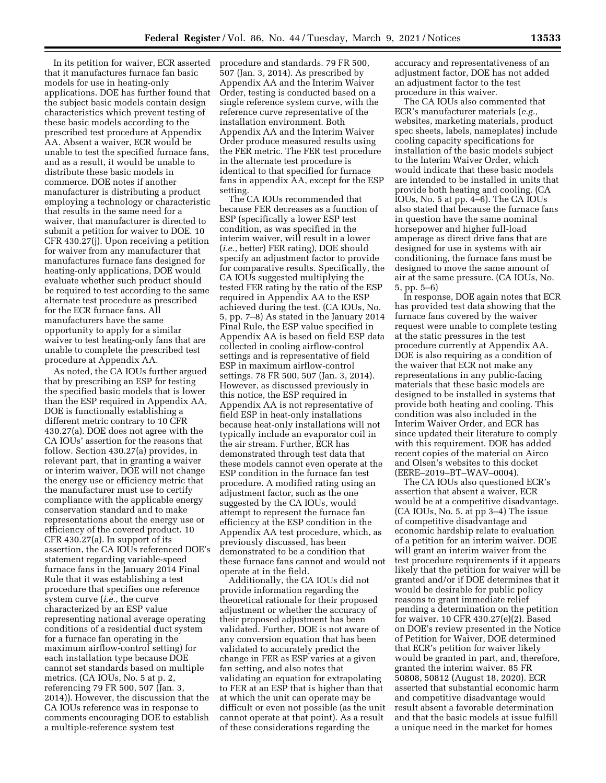In its petition for waiver, ECR asserted that it manufactures furnace fan basic models for use in heating-only applications. DOE has further found that the subject basic models contain design characteristics which prevent testing of these basic models according to the prescribed test procedure at Appendix AA. Absent a waiver, ECR would be unable to test the specified furnace fans, and as a result, it would be unable to distribute these basic models in commerce. DOE notes if another manufacturer is distributing a product employing a technology or characteristic that results in the same need for a waiver, that manufacturer is directed to submit a petition for waiver to DOE. 10 CFR 430.27(j). Upon receiving a petition for waiver from any manufacturer that manufactures furnace fans designed for heating-only applications, DOE would evaluate whether such product should be required to test according to the same alternate test procedure as prescribed for the ECR furnace fans. All manufacturers have the same opportunity to apply for a similar waiver to test heating-only fans that are unable to complete the prescribed test procedure at Appendix AA.

As noted, the CA IOUs further argued that by prescribing an ESP for testing the specified basic models that is lower than the ESP required in Appendix AA, DOE is functionally establishing a different metric contrary to 10 CFR 430.27(a). DOE does not agree with the CA IOUs' assertion for the reasons that follow. Section 430.27(a) provides, in relevant part, that in granting a waiver or interim waiver, DOE will not change the energy use or efficiency metric that the manufacturer must use to certify compliance with the applicable energy conservation standard and to make representations about the energy use or efficiency of the covered product. 10 CFR 430.27(a). In support of its assertion, the CA IOUs referenced DOE's statement regarding variable-speed furnace fans in the January 2014 Final Rule that it was establishing a test procedure that specifies one reference system curve (*i.e.,* the curve characterized by an ESP value representing national average operating conditions of a residential duct system for a furnace fan operating in the maximum airflow-control setting) for each installation type because DOE cannot set standards based on multiple metrics. (CA IOUs, No. 5 at p. 2, referencing 79 FR 500, 507 (Jan. 3, 2014)). However, the discussion that the CA IOUs reference was in response to comments encouraging DOE to establish a multiple-reference system test

procedure and standards. 79 FR 500, 507 (Jan. 3, 2014). As prescribed by Appendix AA and the Interim Waiver Order, testing is conducted based on a single reference system curve, with the reference curve representative of the installation environment. Both Appendix AA and the Interim Waiver Order produce measured results using the FER metric. The FER test procedure in the alternate test procedure is identical to that specified for furnace fans in appendix AA, except for the ESP setting.

The CA IOUs recommended that because FER decreases as a function of ESP (specifically a lower ESP test condition, as was specified in the interim waiver, will result in a lower (*i.e.,* better) FER rating), DOE should specify an adjustment factor to provide for comparative results. Specifically, the CA IOUs suggested multiplying the tested FER rating by the ratio of the ESP required in Appendix AA to the ESP achieved during the test. (CA IOUs, No. 5, pp. 7–8) As stated in the January 2014 Final Rule, the ESP value specified in Appendix AA is based on field ESP data collected in cooling airflow-control settings and is representative of field ESP in maximum airflow-control settings. 78 FR 500, 507 (Jan. 3, 2014). However, as discussed previously in this notice, the ESP required in Appendix AA is not representative of field ESP in heat-only installations because heat-only installations will not typically include an evaporator coil in the air stream. Further, ECR has demonstrated through test data that these models cannot even operate at the ESP condition in the furnace fan test procedure. A modified rating using an adjustment factor, such as the one suggested by the CA IOUs, would attempt to represent the furnace fan efficiency at the ESP condition in the Appendix AA test procedure, which, as previously discussed, has been demonstrated to be a condition that these furnace fans cannot and would not operate at in the field.

Additionally, the CA IOUs did not provide information regarding the theoretical rationale for their proposed adjustment or whether the accuracy of their proposed adjustment has been validated. Further, DOE is not aware of any conversion equation that has been validated to accurately predict the change in FER as ESP varies at a given fan setting, and also notes that validating an equation for extrapolating to FER at an ESP that is higher than that at which the unit can operate may be difficult or even not possible (as the unit cannot operate at that point). As a result of these considerations regarding the

accuracy and representativeness of an adjustment factor, DOE has not added an adjustment factor to the test procedure in this waiver.

The CA IOUs also commented that ECR's manufacturer materials (*e.g.,*  websites, marketing materials, product spec sheets, labels, nameplates) include cooling capacity specifications for installation of the basic models subject to the Interim Waiver Order, which would indicate that these basic models are intended to be installed in units that provide both heating and cooling. (CA IOUs, No. 5 at pp. 4–6). The CA IOUs also stated that because the furnace fans in question have the same nominal horsepower and higher full-load amperage as direct drive fans that are designed for use in systems with air conditioning, the furnace fans must be designed to move the same amount of air at the same pressure. (CA IOUs, No. 5, pp. 5–6)

In response, DOE again notes that ECR has provided test data showing that the furnace fans covered by the waiver request were unable to complete testing at the static pressures in the test procedure currently at Appendix AA. DOE is also requiring as a condition of the waiver that ECR not make any representations in any public-facing materials that these basic models are designed to be installed in systems that provide both heating and cooling. This condition was also included in the Interim Waiver Order, and ECR has since updated their literature to comply with this requirement. DOE has added recent copies of the material on Airco and Olsen's websites to this docket (EERE–2019–BT–WAV–0004).

The CA IOUs also questioned ECR's assertion that absent a waiver, ECR would be at a competitive disadvantage. (CA IOUs, No. 5. at pp 3–4) The issue of competitive disadvantage and economic hardship relate to evaluation of a petition for an interim waiver. DOE will grant an interim waiver from the test procedure requirements if it appears likely that the petition for waiver will be granted and/or if DOE determines that it would be desirable for public policy reasons to grant immediate relief pending a determination on the petition for waiver. 10 CFR 430.27(e)(2). Based on DOE's review presented in the Notice of Petition for Waiver, DOE determined that ECR's petition for waiver likely would be granted in part, and, therefore, granted the interim waiver. 85 FR 50808, 50812 (August 18, 2020). ECR asserted that substantial economic harm and competitive disadvantage would result absent a favorable determination and that the basic models at issue fulfill a unique need in the market for homes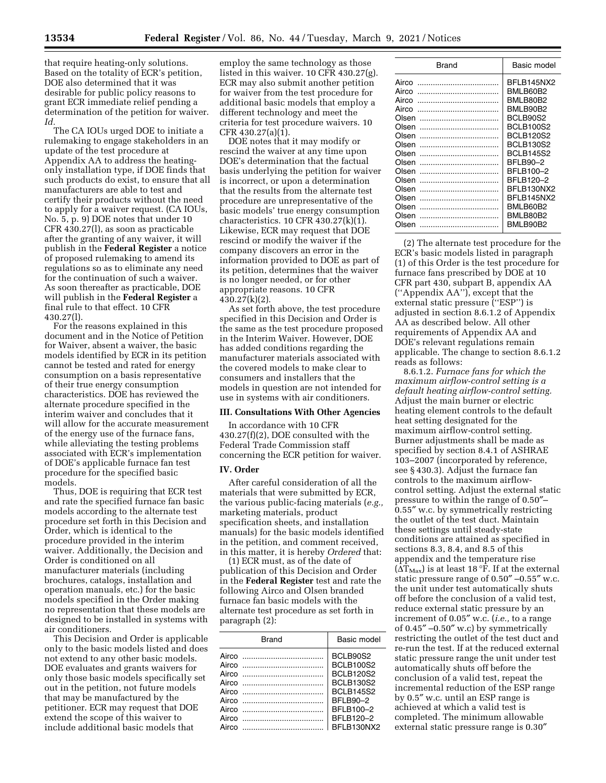that require heating-only solutions. Based on the totality of ECR's petition, DOE also determined that it was desirable for public policy reasons to grant ECR immediate relief pending a determination of the petition for waiver. *Id.* 

The CA IOUs urged DOE to initiate a rulemaking to engage stakeholders in an update of the test procedure at Appendix AA to address the heatingonly installation type, if DOE finds that such products do exist, to ensure that all manufacturers are able to test and certify their products without the need to apply for a waiver request. (CA IOUs, No. 5, p. 9) DOE notes that under 10 CFR 430.27(l), as soon as practicable after the granting of any waiver, it will publish in the **Federal Register** a notice of proposed rulemaking to amend its regulations so as to eliminate any need for the continuation of such a waiver. As soon thereafter as practicable, DOE will publish in the **Federal Register** a final rule to that effect. 10 CFR 430.27(l).

For the reasons explained in this document and in the Notice of Petition for Waiver, absent a waiver, the basic models identified by ECR in its petition cannot be tested and rated for energy consumption on a basis representative of their true energy consumption characteristics. DOE has reviewed the alternate procedure specified in the interim waiver and concludes that it will allow for the accurate measurement of the energy use of the furnace fans, while alleviating the testing problems associated with ECR's implementation of DOE's applicable furnace fan test procedure for the specified basic models.

Thus, DOE is requiring that ECR test and rate the specified furnace fan basic models according to the alternate test procedure set forth in this Decision and Order, which is identical to the procedure provided in the interim waiver. Additionally, the Decision and Order is conditioned on all manufacturer materials (including brochures, catalogs, installation and operation manuals, etc.) for the basic models specified in the Order making no representation that these models are designed to be installed in systems with air conditioners.

This Decision and Order is applicable only to the basic models listed and does not extend to any other basic models. DOE evaluates and grants waivers for only those basic models specifically set out in the petition, not future models that may be manufactured by the petitioner. ECR may request that DOE extend the scope of this waiver to include additional basic models that

employ the same technology as those listed in this waiver. 10 CFR 430.27(g). ECR may also submit another petition for waiver from the test procedure for additional basic models that employ a different technology and meet the criteria for test procedure waivers. 10 CFR 430.27(a)(1).

DOE notes that it may modify or rescind the waiver at any time upon DOE's determination that the factual basis underlying the petition for waiver is incorrect, or upon a determination that the results from the alternate test procedure are unrepresentative of the basic models' true energy consumption characteristics.  $10$  CFR  $430.27(k)(1)$ . Likewise, ECR may request that DOE rescind or modify the waiver if the company discovers an error in the information provided to DOE as part of its petition, determines that the waiver is no longer needed, or for other appropriate reasons. 10 CFR 430.27(k)(2).

As set forth above, the test procedure specified in this Decision and Order is the same as the test procedure proposed in the Interim Waiver. However, DOE has added conditions regarding the manufacturer materials associated with the covered models to make clear to consumers and installers that the models in question are not intended for use in systems with air conditioners.

# **III. Consultations With Other Agencies**

In accordance with 10 CFR 430.27(f)(2), DOE consulted with the Federal Trade Commission staff concerning the ECR petition for waiver.

### **IV. Order**

After careful consideration of all the materials that were submitted by ECR, the various public-facing materials (*e.g.,*  marketing materials, product specification sheets, and installation manuals) for the basic models identified in the petition, and comment received, in this matter, it is hereby *Ordered* that:

(1) ECR must, as of the date of publication of this Decision and Order in the **Federal Register** test and rate the following Airco and Olsen branded furnace fan basic models with the alternate test procedure as set forth in paragraph (2):

| <b>Brand</b>   | Basic model                                                                                                                              |
|----------------|------------------------------------------------------------------------------------------------------------------------------------------|
| Airco<br>Airco | BCLB90S2<br><b>BCLB100S2</b><br><b>BCLB120S2</b><br><b>BCLB130S2</b><br><b>BCI B145S2</b><br><b>BFI B90-2</b><br>BFI B100-2<br>BFLB120-2 |
|                | BFLB130NX2                                                                                                                               |

| Brand | Basic model     |
|-------|-----------------|
| Airco | BFLB145NX2      |
| Airco | BMLB60B2        |
| Airco | BMLB80B2        |
| Airco | BMLB90B2        |
| Olsen | BCLB90S2        |
| Olsen | BCLB100S2       |
| Olsen | BCLB120S2       |
| Olsen | BCI B130S2      |
| Olsen | BCI B145S2      |
| Olsen | <b>BFLB90-2</b> |
| Olsen | BFLB100-2       |
| Olsen | BFLB120-2       |
| Olsen | BFLB130NX2      |
| Olsen | BFLB145NX2      |
| Olsen | BMLB60B2        |
| Olsen | BMLB80B2        |
| Olsen | BMLB90B2        |

(2) The alternate test procedure for the ECR's basic models listed in paragraph (1) of this Order is the test procedure for furnace fans prescribed by DOE at 10 CFR part 430, subpart B, appendix AA (''Appendix AA''), except that the external static pressure (''ESP'') is adjusted in section 8.6.1.2 of Appendix AA as described below. All other requirements of Appendix AA and DOE's relevant regulations remain applicable. The change to section 8.6.1.2 reads as follows:

8.6.1.2. *Furnace fans for which the maximum airflow-control setting is a default heating airflow-control setting.*  Adjust the main burner or electric heating element controls to the default heat setting designated for the maximum airflow-control setting. Burner adjustments shall be made as specified by section 8.4.1 of ASHRAE 103–2007 (incorporated by reference, see § 430.3). Adjust the furnace fan controls to the maximum airflowcontrol setting. Adjust the external static pressure to within the range of 0.50″– 0.55″ w.c. by symmetrically restricting the outlet of the test duct. Maintain these settings until steady-state conditions are attained as specified in sections 8.3, 8.4, and 8.5 of this appendix and the temperature rise  $(\Delta T_{\text{Max}})$  is at least 18 °F. If at the external static pressure range of 0.50″ –0.55″ w.c. the unit under test automatically shuts off before the conclusion of a valid test, reduce external static pressure by an increment of 0.05″ w.c. (*i.e.,* to a range of 0.45″ –0.50″ w.c) by symmetrically restricting the outlet of the test duct and re-run the test. If at the reduced external static pressure range the unit under test automatically shuts off before the conclusion of a valid test, repeat the incremental reduction of the ESP range by 0.5″ w.c. until an ESP range is achieved at which a valid test is completed. The minimum allowable external static pressure range is 0.30″